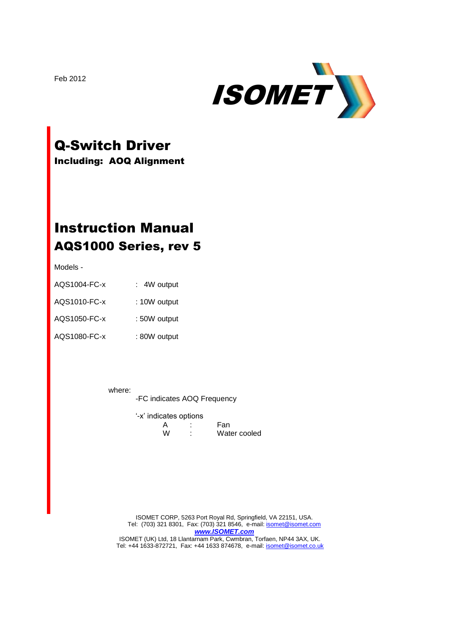

# Q-Switch Driver

Including: AOQ Alignment

# Instruction Manual AQS1000 Series, rev 5

Models -

| AQS1004-FC-x | : 4W output  |
|--------------|--------------|
| AQS1010-FC-x | : 10W output |
| AQS1050-FC-x | : 50W output |
| AQS1080-FC-x | : 80W output |

where:

-FC indicates AOQ Frequency

|   | '-x' indicates options |              |
|---|------------------------|--------------|
|   |                        | Fan          |
| w | ٠                      | Water cooled |

ISOMET CORP, 5263 Port Royal Rd, Springfield, VA 22151, USA. Tel: (703) 321 8301, Fax: (703) 321 8546, e-mail[: isomet@isomet.com](mailto:isomet@isomet.com) *[www.ISOMET.com](http://www.isomet.com/)*

ISOMET (UK) Ltd, 18 Llantarnam Park, Cwmbran, Torfaen, NP44 3AX, UK. Tel: +44 1633-872721, Fax: +44 1633 874678, e-mail: **isomet@isomet.co.uk** 

Feb 2012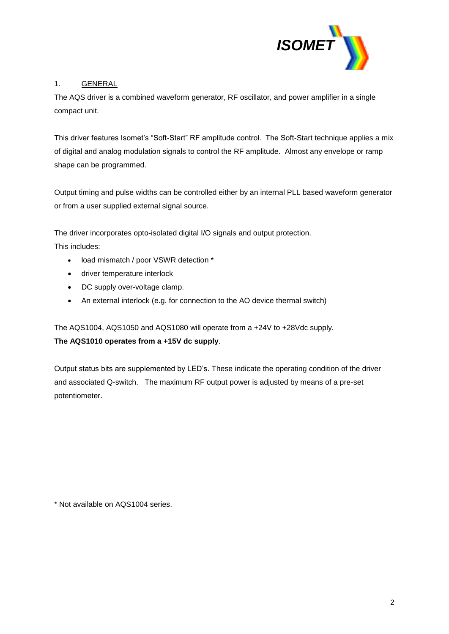

# 1. GENERAL

The AQS driver is a combined waveform generator, RF oscillator, and power amplifier in a single compact unit.

This driver features Isomet's "Soft-Start" RF amplitude control. The Soft-Start technique applies a mix of digital and analog modulation signals to control the RF amplitude. Almost any envelope or ramp shape can be programmed.

Output timing and pulse widths can be controlled either by an internal PLL based waveform generator or from a user supplied external signal source.

The driver incorporates opto-isolated digital I/O signals and output protection.

This includes:

- load mismatch / poor VSWR detection \*
- driver temperature interlock
- DC supply over-voltage clamp.
- An external interlock (e.g. for connection to the AO device thermal switch)

The AQS1004, AQS1050 and AQS1080 will operate from a +24V to +28Vdc supply.

# **The AQS1010 operates from a +15V dc supply**.

Output status bits are supplemented by LED's. These indicate the operating condition of the driver and associated Q-switch. The maximum RF output power is adjusted by means of a pre-set potentiometer.

\* Not available on AQS1004 series.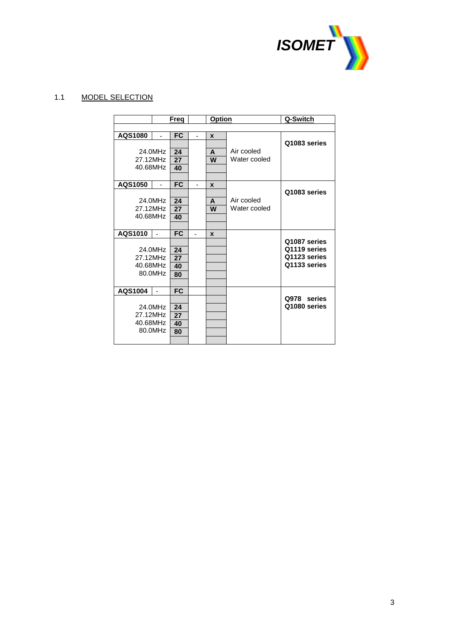

# 1.1 MODEL SELECTION

|          |                | Freg      |    | Option |              | Q-Switch     |
|----------|----------------|-----------|----|--------|--------------|--------------|
|          |                |           |    |        |              |              |
| AQS1080  | $\blacksquare$ | <b>FC</b> | ä, | X      |              |              |
|          |                |           |    |        |              | Q1083 series |
|          | 24.0MHz        | 24        |    | A      | Air cooled   |              |
| 27.12MHz |                | 27        |    | W      | Water cooled |              |
| 40.68MHz |                | 40        |    |        |              |              |
|          |                |           |    |        |              |              |
| AQS1050  | ä,             | <b>FC</b> | ä, | X      |              |              |
|          |                |           |    |        |              | Q1083 series |
|          | 24.0MHz        | 24        |    | A      | Air cooled   |              |
| 27.12MHz |                | 27        |    | W      | Water cooled |              |
| 40.68MHz |                | 40        |    |        |              |              |
|          |                |           |    |        |              |              |
| AQS1010  |                | <b>FC</b> |    | X      |              | Q1087 series |
|          | 24.0MHz        | 24        |    |        |              | Q1119 series |
| 27.12MHz |                | 27        |    |        |              | Q1123 series |
| 40.68MHz |                | 40        |    |        |              | Q1133 series |
|          | 80.0MHz        | 80        |    |        |              |              |
|          |                |           |    |        |              |              |
| AQS1004  |                | <b>FC</b> |    |        |              |              |
|          |                |           |    |        |              | Q978 series  |
|          | 24.0MHz        | 24        |    |        |              | Q1080 series |
| 27.12MHz |                | 27        |    |        |              |              |
| 40.68MHz |                | 40        |    |        |              |              |
|          | 80.0MHz        | 80        |    |        |              |              |
|          |                |           |    |        |              |              |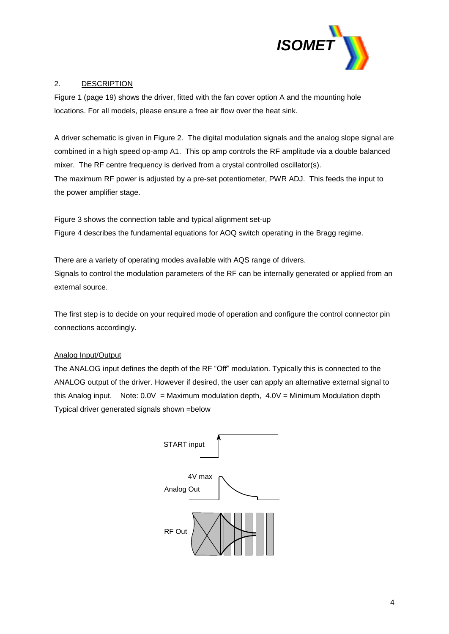

# 2. DESCRIPTION

Figure 1 (page 19) shows the driver, fitted with the fan cover option A and the mounting hole locations. For all models, please ensure a free air flow over the heat sink.

A driver schematic is given in Figure 2. The digital modulation signals and the analog slope signal are combined in a high speed op-amp A1. This op amp controls the RF amplitude via a double balanced mixer. The RF centre frequency is derived from a crystal controlled oscillator(s). The maximum RF power is adjusted by a pre-set potentiometer, PWR ADJ. This feeds the input to the power amplifier stage.

Figure 3 shows the connection table and typical alignment set-up Figure 4 describes the fundamental equations for AOQ switch operating in the Bragg regime.

There are a variety of operating modes available with AQS range of drivers. Signals to control the modulation parameters of the RF can be internally generated or applied from an external source.

The first step is to decide on your required mode of operation and configure the control connector pin connections accordingly.

# Analog Input/Output

The ANALOG input defines the depth of the RF "Off" modulation. Typically this is connected to the ANALOG output of the driver. However if desired, the user can apply an alternative external signal to this Analog input. Note:  $0.0V =$  Maximum modulation depth,  $4.0V =$  Minimum Modulation depth Typical driver generated signals shown =below

| START input          |
|----------------------|
| 4V max<br>Analog Out |
| RF Out               |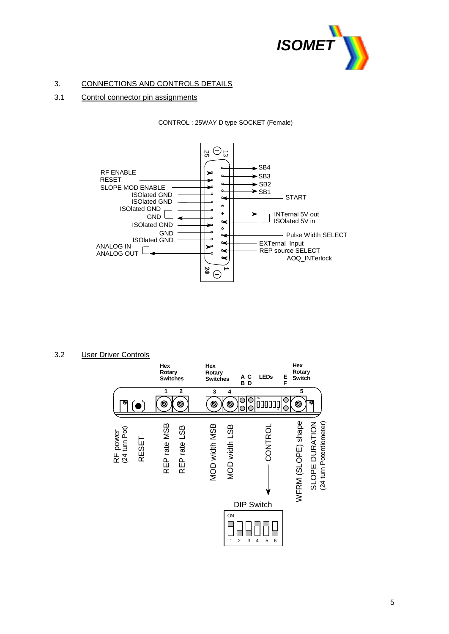

# 3. CONNECTIONS AND CONTROLS DETAILS

## 3.1 Control connector pin assignments

### CONTROL : 25WAY D type SOCKET (Female)



## 3.2 User Driver Controls

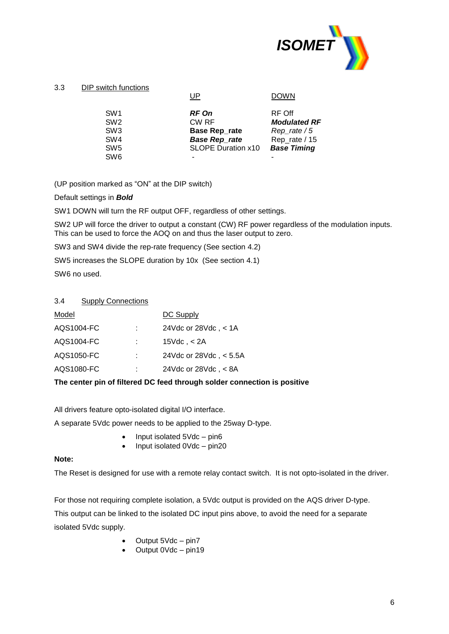

## 3.3 DIP switch functions

|                 | UP                        | <b>DOWN</b>         |
|-----------------|---------------------------|---------------------|
| SW <sub>1</sub> | <b>RF On</b>              | RF Off              |
| SW <sub>2</sub> | CW RF                     | <b>Modulated RF</b> |
| SW <sub>3</sub> | <b>Base Rep_rate</b>      | $Rep_rate / 5$      |
| SW <sub>4</sub> | <b>Base Rep_rate</b>      | Rep_rate / 15       |
| SW <sub>5</sub> | <b>SLOPE Duration x10</b> | <b>Base Timing</b>  |
| SW <sub>6</sub> |                           |                     |
|                 |                           |                     |

(UP position marked as "ON" at the DIP switch)

Default settings in *Bold*

SW1 DOWN will turn the RF output OFF, regardless of other settings.

SW2 UP will force the driver to output a constant (CW) RF power regardless of the modulation inputs. This can be used to force the AOQ on and thus the laser output to zero.

SW3 and SW4 divide the rep-rate frequency (See section 4.2)

SW5 increases the SLOPE duration by 10x (See section 4.1)

SW6 no used.

## 3.4 Supply Connections

| Model      |    | DC Supply                     |
|------------|----|-------------------------------|
| AQS1004-FC |    | 24Vdc or $28$ Vdc, $\lt$ 1A   |
| AQS1004-FC |    | 15 $Vdc$ , $<$ 2A             |
| AQS1050-FC | ÷. | 24Vdc or $28$ Vdc, $\lt$ 5.5A |
| AQS1080-FC |    | 24Vdc or $28$ Vdc, $\lt$ 8A   |
|            |    |                               |

## **The center pin of filtered DC feed through solder connection is positive**

All drivers feature opto-isolated digital I/O interface.

A separate 5Vdc power needs to be applied to the 25way D-type.

- $\bullet$  Input isolated 5Vdc pin6
- Input isolated 0Vdc pin20

## **Note:**

The Reset is designed for use with a remote relay contact switch. It is not opto-isolated in the driver.

For those not requiring complete isolation, a 5Vdc output is provided on the AQS driver D-type.

This output can be linked to the isolated DC input pins above, to avoid the need for a separate isolated 5Vdc supply.

- $\bullet$  Output 5Vdc pin7
- Output 0Vdc pin19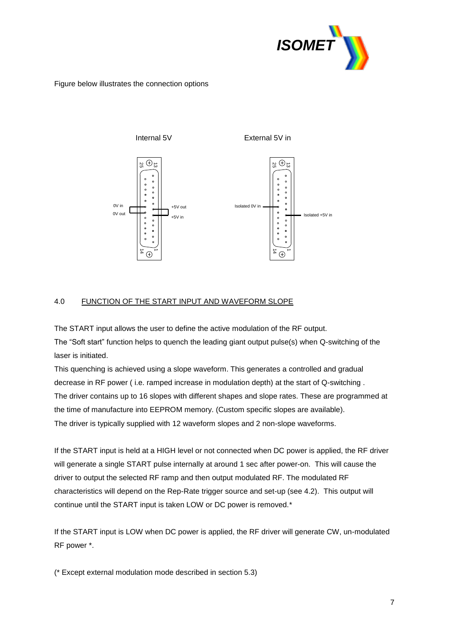

## Figure below illustrates the connection options



### 4.0 FUNCTION OF THE START INPUT AND WAVEFORM SLOPE

The START input allows the user to define the active modulation of the RF output. The "Soft start" function helps to quench the leading giant output pulse(s) when Q-switching of the laser is initiated.

This quenching is achieved using a slope waveform. This generates a controlled and gradual decrease in RF power ( i.e. ramped increase in modulation depth) at the start of Q-switching . The driver contains up to 16 slopes with different shapes and slope rates. These are programmed at the time of manufacture into EEPROM memory. (Custom specific slopes are available). The driver is typically supplied with 12 waveform slopes and 2 non-slope waveforms.

If the START input is held at a HIGH level or not connected when DC power is applied, the RF driver will generate a single START pulse internally at around 1 sec after power-on. This will cause the driver to output the selected RF ramp and then output modulated RF. The modulated RF characteristics will depend on the Rep-Rate trigger source and set-up (see 4.2). This output will continue until the START input is taken LOW or DC power is removed.\*

If the START input is LOW when DC power is applied, the RF driver will generate CW, un-modulated RF power \*.

(\* Except external modulation mode described in section 5.3)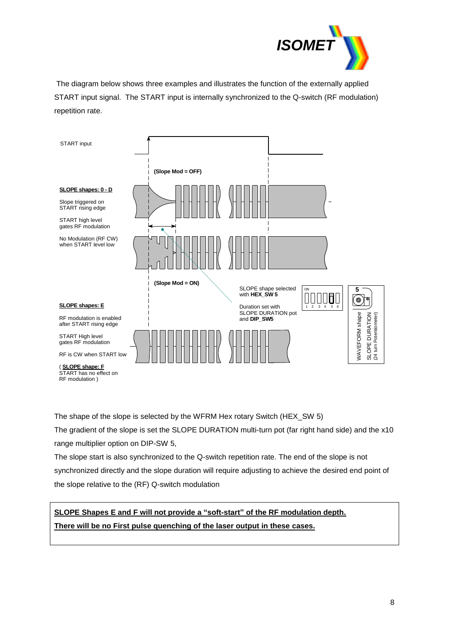

The diagram below shows three examples and illustrates the function of the externally applied START input signal. The START input is internally synchronized to the Q-switch (RF modulation) repetition rate.



The shape of the slope is selected by the WFRM Hex rotary Switch (HEX\_SW 5)

The gradient of the slope is set the SLOPE DURATION multi-turn pot (far right hand side) and the x10 range multiplier option on DIP-SW 5,

The slope start is also synchronized to the Q-switch repetition rate. The end of the slope is not synchronized directly and the slope duration will require adjusting to achieve the desired end point of the slope relative to the (RF) Q-switch modulation

# **SLOPE Shapes E and F will not provide a "soft-start" of the RF modulation depth. There will be no First pulse quenching of the laser output in these cases.**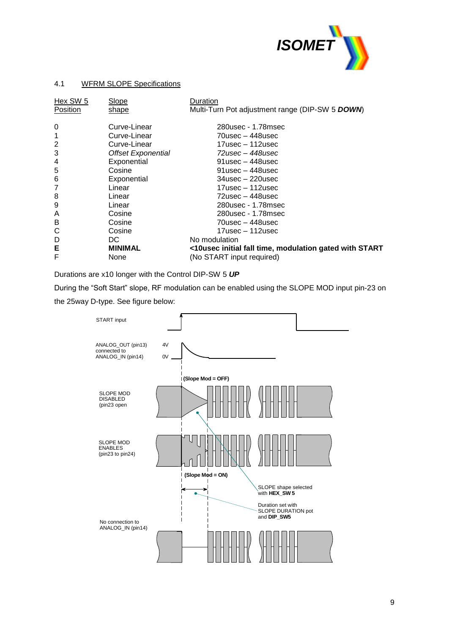

## 4.1 WFRM SLOPE Specifications

| Hex SW 5       | Slope                     | Duration                                               |
|----------------|---------------------------|--------------------------------------------------------|
| Position       | shape                     | Multi-Turn Pot adjustment range (DIP-SW 5 DOWN)        |
| 0              | Curve-Linear              | 280usec - 1.78msec                                     |
| 1              | Curve-Linear              | $70$ usec – 448usec                                    |
| 2              | Curve-Linear              | $17$ usec – 112usec                                    |
| 3              | <b>Offset Exponential</b> | $72$ usec – 448usec                                    |
| 4              | Exponential               | $91$ usec – 448usec                                    |
| 5              | Cosine                    | $91$ usec – 448usec                                    |
| 6              | Exponential               | $34$ usec $-220$ usec                                  |
| $\overline{7}$ | Linear                    | 17usec – 112usec                                       |
| 8              | Linear                    | $72$ usec – 448usec                                    |
| 9              | Linear                    | 280usec - 1.78msec                                     |
| A              | Cosine                    | 280usec - 1.78msec                                     |
| В              | Cosine                    | 70usec – 448usec                                       |
| С              | Cosine                    | 17usec – 112usec                                       |
| D              | DC.                       | No modulation                                          |
| Е              | <b>MINIMAL</b>            | <10usec initial fall time, modulation gated with START |
| F              | None                      | (No START input required)                              |

Durations are x10 longer with the Control DIP-SW 5 *UP*

During the "Soft Start" slope, RF modulation can be enabled using the SLOPE MOD input pin-23 on

the 25way D-type. See figure below:

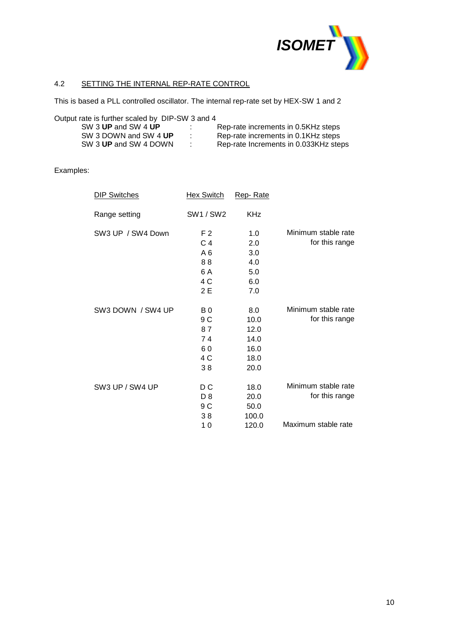

# 4.2 SETTING THE INTERNAL REP-RATE CONTROL

This is based a PLL controlled oscillator. The internal rep-rate set by HEX-SW 1 and 2

Output rate is further scaled by DIP-SW 3 and 4

| SW 3 UP and SW 4 UP   | . . | Rep-rate increments in 0.5KHz steps   |
|-----------------------|-----|---------------------------------------|
| SW 3 DOWN and SW 4 UP |     | Rep-rate increments in 0.1KHz steps   |
| SW 3 UP and SW 4 DOWN |     | Rep-rate Increments in 0.033KHz steps |

## Examples:

| <b>DIP Switches</b> | <b>Hex Switch</b> | Rep-Rate   |                     |
|---------------------|-------------------|------------|---------------------|
| Range setting       | <b>SW1/SW2</b>    | <b>KHz</b> |                     |
| SW3 UP / SW4 Down   | F 2               | 1.0        | Minimum stable rate |
|                     | C <sub>4</sub>    | 2.0        | for this range      |
|                     | A 6               | 3.0        |                     |
|                     | 88                | 4.0        |                     |
|                     | 6 A               | 5.0        |                     |
|                     | 4 C               | 6.0        |                     |
|                     | 2 E               | 7.0        |                     |
| SW3 DOWN / SW4 UP   | B <sub>0</sub>    | 8.0        | Minimum stable rate |
|                     | 9 C               | 10.0       | for this range      |
|                     | 87                | 12.0       |                     |
|                     | 74                | 14.0       |                     |
|                     | 60                | 16.0       |                     |
|                     | 4 C               | 18.0       |                     |
|                     | 38                | 20.0       |                     |
| SW3 UP / SW4 UP     | D C               | 18.0       | Minimum stable rate |
|                     | D <sub>8</sub>    | 20.0       | for this range      |
|                     | 9 C               | 50.0       |                     |
|                     | 38                | 100.0      |                     |
|                     | 10                | 120.0      | Maximum stable rate |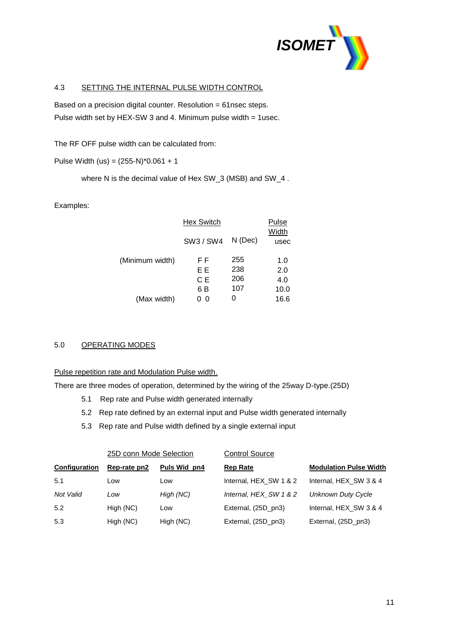

## 4.3 SETTING THE INTERNAL PULSE WIDTH CONTROL

Based on a precision digital counter. Resolution = 61nsec steps. Pulse width set by HEX-SW 3 and 4. Minimum pulse width = 1usec.

The RF OFF pulse width can be calculated from:

Pulse Width (us) =  $(255-N)^*0.061 + 1$ 

where N is the decimal value of Hex SW\_3 (MSB) and SW\_4 .

## Examples:

| <b>Hex Switch</b> | Pulse<br>Width |      |  |
|-------------------|----------------|------|--|
| SW3 / SW4         | N (Dec)        | usec |  |
| F F               | 255            | 1.0  |  |
| ΕE                | 238            | 2.0  |  |
| CЕ                | 206            | 4.0  |  |
| 6 B               | 107            | 10.0 |  |
| 0                 | O              | 16.6 |  |
|                   |                |      |  |

## 5.0 OPERATING MODES

Pulse repetition rate and Modulation Pulse width.

There are three modes of operation, determined by the wiring of the 25way D-type.(25D)

- 5.1 Rep rate and Pulse width generated internally
- 5.2 Rep rate defined by an external input and Pulse width generated internally
- 5.3 Rep rate and Pulse width defined by a single external input

|                      | 25D conn Mode Selection |              | <b>Control Source</b>  |                               |  |  |  |
|----------------------|-------------------------|--------------|------------------------|-------------------------------|--|--|--|
| <b>Configuration</b> | Rep-rate pn2            | Puls Wid pn4 | <b>Rep Rate</b>        | <b>Modulation Pulse Width</b> |  |  |  |
| 5.1                  | Low                     | Low          | Internal, HEX SW 1 & 2 | Internal, HEX SW 3 & 4        |  |  |  |
| Not Valid            | Low                     | High (NC)    | Internal, HEX SW 1 & 2 | <b>Unknown Duty Cycle</b>     |  |  |  |
| 5.2                  | High (NC)               | Low          | External, (25D pn3)    | Internal, HEX SW 3 & 4        |  |  |  |
| 5.3                  | High (NC)               | High (NC)    | External, (25D_pn3)    | External, (25D_pn3)           |  |  |  |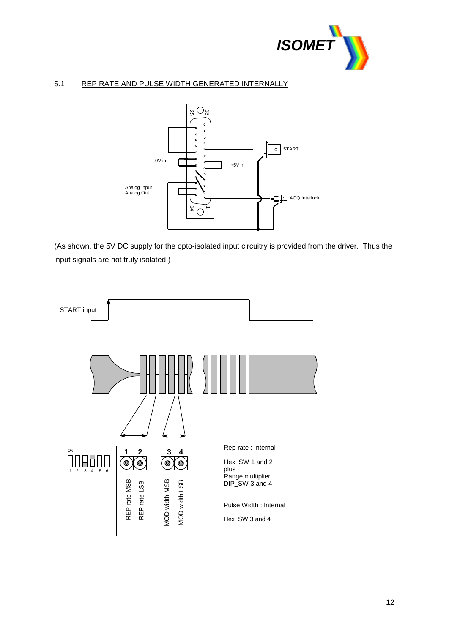

# 5.1 REP RATE AND PULSE WIDTH GENERATED INTERNALLY



(As shown, the 5V DC supply for the opto-isolated input circuitry is provided from the driver. Thus the input signals are not truly isolated.)

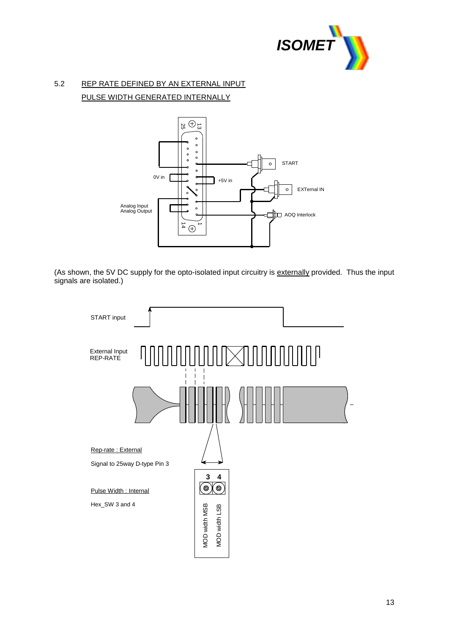

# 5.2 REP RATE DEFINED BY AN EXTERNAL INPUT PULSE WIDTH GENERATED INTERNALLY



(As shown, the 5V DC supply for the opto-isolated input circuitry is externally provided. Thus the input signals are isolated.)

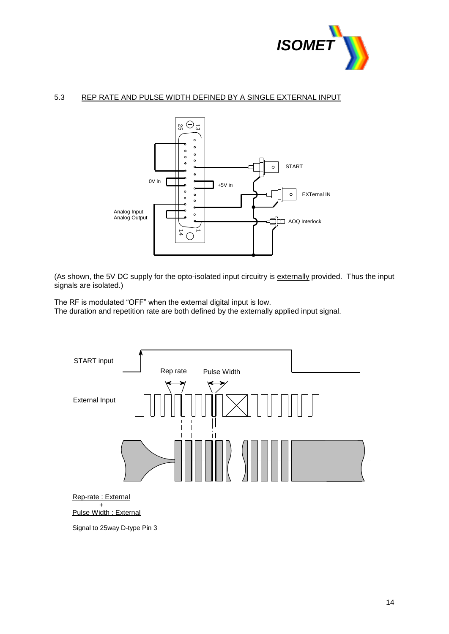

## 5.3 REP RATE AND PULSE WIDTH DEFINED BY A SINGLE EXTERNAL INPUT



(As shown, the 5V DC supply for the opto-isolated input circuitry is externally provided. Thus the input signals are isolated.)

The RF is modulated "OFF" when the external digital input is low. The duration and repetition rate are both defined by the externally applied input signal.



Signal to 25way D-type Pin 3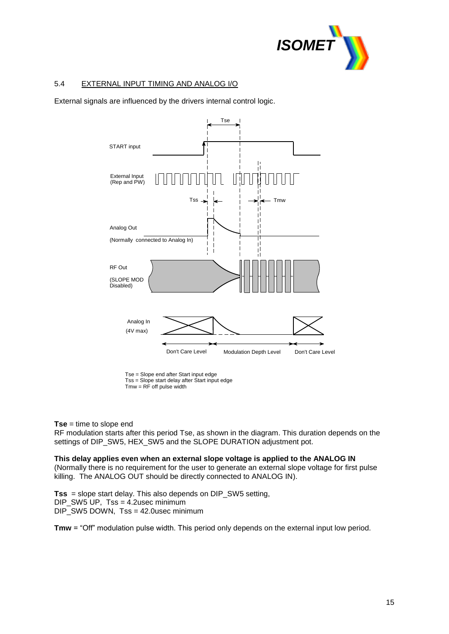

# 5.4 EXTERNAL INPUT TIMING AND ANALOG I/O

External signals are influenced by the drivers internal control logic.



Tse = Slope end after Start input edge Tss = Slope start delay after Start input edge  $Tmw = RF$  off pulse width

### **Tse** = time to slope end

RF modulation starts after this period Tse, as shown in the diagram. This duration depends on the settings of DIP\_SW5, HEX\_SW5 and the SLOPE DURATION adjustment pot.

### **This delay applies even when an external slope voltage is applied to the ANALOG IN**

(Normally there is no requirement for the user to generate an external slope voltage for first pulse killing. The ANALOG OUT should be directly connected to ANALOG IN).

**Tss** = slope start delay. This also depends on DIP\_SW5 setting, DIP\_SW5 UP, Tss = 4.2usec minimum DIP\_SW5 DOWN, Tss = 42.0usec minimum

**Tmw** = "Off" modulation pulse width. This period only depends on the external input low period.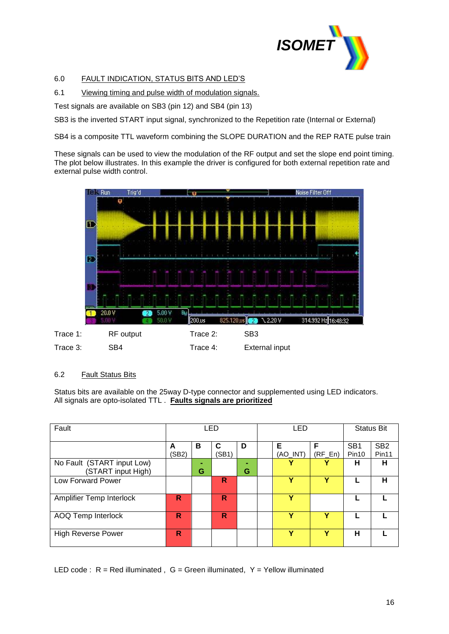

# 6.0 FAULT INDICATION, STATUS BITS AND LED'S

## 6.1 Viewing timing and pulse width of modulation signals.

Test signals are available on SB3 (pin 12) and SB4 (pin 13)

SB3 is the inverted START input signal, synchronized to the Repetition rate (Internal or External)

SB4 is a composite TTL waveform combining the SLOPE DURATION and the REP RATE pulse train

These signals can be used to view the modulation of the RF output and set the slope end point timing. The plot below illustrates. In this example the driver is configured for both external repetition rate and external pulse width control.



## 6.2 Fault Status Bits

Status bits are available on the 25way D-type connector and supplemented using LED indicators. All signals are opto-isolated TTL . **Faults signals are prioritized**

| Fault                                            | LED        |                     |            | LED |  |                               | <b>Status Bit</b> |                                      |                                      |
|--------------------------------------------------|------------|---------------------|------------|-----|--|-------------------------------|-------------------|--------------------------------------|--------------------------------------|
|                                                  | A<br>(SB2) | в                   | C<br>(SB1) | D   |  | Е<br>$(AO$ <sub>INT</sub> $)$ | F<br>$(RF_En)$    | SB <sub>1</sub><br>Pin <sub>10</sub> | SB <sub>2</sub><br>Pin <sub>11</sub> |
| No Fault (START input Low)<br>(START input High) |            | $\blacksquare$<br>G |            | G   |  | v                             |                   | н                                    | н                                    |
| Low Forward Power                                |            |                     | R          |     |  | v                             | Y                 |                                      | н                                    |
| <b>Amplifier Temp Interlock</b>                  | R          |                     | R          |     |  | v                             |                   |                                      |                                      |
| <b>AOQ Temp Interlock</b>                        | R          |                     | R          |     |  | v                             | v                 |                                      |                                      |
| <b>High Reverse Power</b>                        | R          |                     |            |     |  | v                             | Y                 | н                                    |                                      |

LED code :  $R = Red$  illuminated,  $G = Green$  illuminated,  $Y = Yellow$  illuminated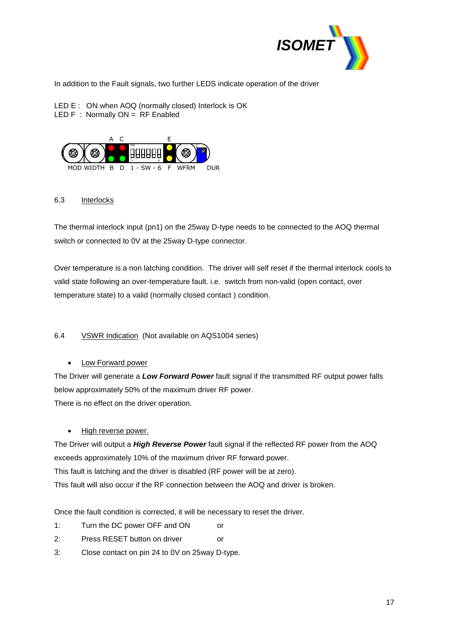

In addition to the Fault signals, two further LEDS indicate operation of the driver

LED E : ON when AOQ (normally closed) Interlock is OK LED  $F :$  Normally  $ON = RF$  Enabled



# 6.3 Interlocks

The thermal interlock input (pn1) on the 25way D-type needs to be connected to the AOQ thermal switch or connected to 0V at the 25way D-type connector.

Over temperature is a non latching condition. The driver will self reset if the thermal interlock cools to valid state following an over-temperature fault. i.e. switch from non-valid (open contact, over temperature state) to a valid (normally closed contact ) condition.

# 6.4 VSWR Indication (Not available on AQS1004 series)

Low Forward power

The Driver will generate a *Low Forward Power* fault signal if the transmitted RF output power falls below approximately 50% of the maximum driver RF power.

There is no effect on the driver operation.

# High reverse power.

The Driver will output a *High Reverse Power* fault signal if the reflected RF power from the AOQ exceeds approximately 10% of the maximum driver RF forward power. This fault is latching and the driver is disabled (RF power will be at zero). This fault will also occur if the RF connection between the AOQ and driver is broken.

Once the fault condition is corrected, it will be necessary to reset the driver.

- 1: Turn the DC power OFF and ON or
- 2: Press RESET button on driver or
- 3: Close contact on pin 24 to 0V on 25way D-type.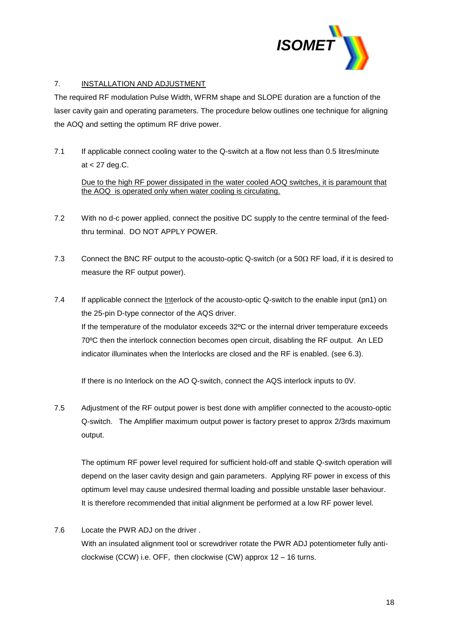

## 7. INSTALLATION AND ADJUSTMENT

The required RF modulation Pulse Width, WFRM shape and SLOPE duration are a function of the laser cavity gain and operating parameters. The procedure below outlines one technique for aligning the AOQ and setting the optimum RF drive power.

7.1 If applicable connect cooling water to the Q-switch at a flow not less than 0.5 litres/minute at < 27 deg.C.

Due to the high RF power dissipated in the water cooled AOQ switches, it is paramount that the AOQ is operated only when water cooling is circulating.

- 7.2 With no d-c power applied, connect the positive DC supply to the centre terminal of the feedthru terminal. DO NOT APPLY POWER.
- 7.3 Connect the BNC RF output to the acousto-optic Q-switch (or a  $50\Omega$  RF load, if it is desired to measure the RF output power).
- 7.4 If applicable connect the Interlock of the acousto-optic Q-switch to the enable input (pn1) on the 25-pin D-type connector of the AQS driver. If the temperature of the modulator exceeds 32ºC or the internal driver temperature exceeds 70ºC then the interlock connection becomes open circuit, disabling the RF output. An LED indicator illuminates when the Interlocks are closed and the RF is enabled. (see 6.3).

If there is no Interlock on the AO Q-switch, connect the AQS interlock inputs to 0V.

7.5 Adjustment of the RF output power is best done with amplifier connected to the acousto-optic Q-switch. The Amplifier maximum output power is factory preset to approx 2/3rds maximum output.

The optimum RF power level required for sufficient hold-off and stable Q-switch operation will depend on the laser cavity design and gain parameters. Applying RF power in excess of this optimum level may cause undesired thermal loading and possible unstable laser behaviour. It is therefore recommended that initial alignment be performed at a low RF power level.

7.6 Locate the PWR ADJ on the driver . With an insulated alignment tool or screwdriver rotate the PWR ADJ potentiometer fully anticlockwise (CCW) i.e. OFF, then clockwise (CW) approx 12 – 16 turns.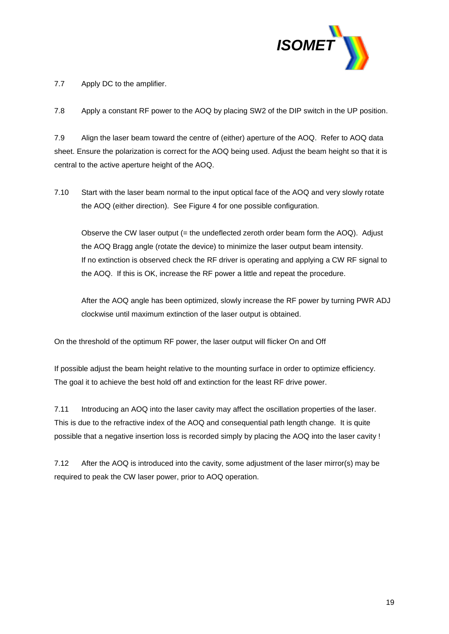

7.7 Apply DC to the amplifier.

7.8 Apply a constant RF power to the AOQ by placing SW2 of the DIP switch in the UP position.

7.9 Align the laser beam toward the centre of (either) aperture of the AOQ. Refer to AOQ data sheet. Ensure the polarization is correct for the AOQ being used. Adjust the beam height so that it is central to the active aperture height of the AOQ.

7.10 Start with the laser beam normal to the input optical face of the AOQ and very slowly rotate the AOQ (either direction). See Figure 4 for one possible configuration.

Observe the CW laser output (= the undeflected zeroth order beam form the AOQ). Adjust the AOQ Bragg angle (rotate the device) to minimize the laser output beam intensity. If no extinction is observed check the RF driver is operating and applying a CW RF signal to the AOQ. If this is OK, increase the RF power a little and repeat the procedure.

After the AOQ angle has been optimized, slowly increase the RF power by turning PWR ADJ clockwise until maximum extinction of the laser output is obtained.

On the threshold of the optimum RF power, the laser output will flicker On and Off

If possible adjust the beam height relative to the mounting surface in order to optimize efficiency. The goal it to achieve the best hold off and extinction for the least RF drive power.

7.11 Introducing an AOQ into the laser cavity may affect the oscillation properties of the laser. This is due to the refractive index of the AOQ and consequential path length change. It is quite possible that a negative insertion loss is recorded simply by placing the AOQ into the laser cavity !

7.12 After the AOQ is introduced into the cavity, some adjustment of the laser mirror(s) may be required to peak the CW laser power, prior to AOQ operation.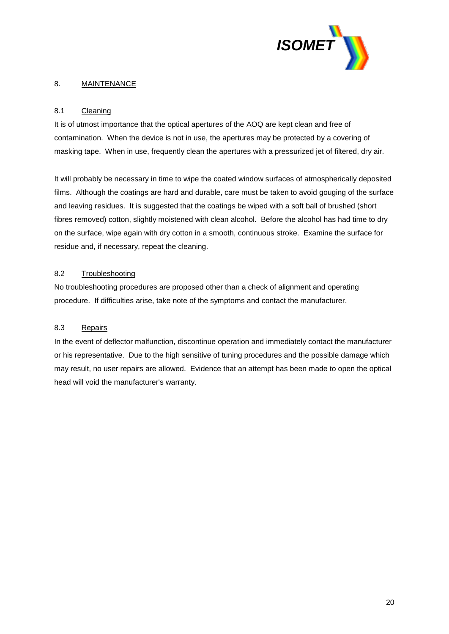

# 8. MAINTENANCE

# 8.1 Cleaning

It is of utmost importance that the optical apertures of the AOQ are kept clean and free of contamination. When the device is not in use, the apertures may be protected by a covering of masking tape. When in use, frequently clean the apertures with a pressurized jet of filtered, dry air.

It will probably be necessary in time to wipe the coated window surfaces of atmospherically deposited films. Although the coatings are hard and durable, care must be taken to avoid gouging of the surface and leaving residues. It is suggested that the coatings be wiped with a soft ball of brushed (short fibres removed) cotton, slightly moistened with clean alcohol. Before the alcohol has had time to dry on the surface, wipe again with dry cotton in a smooth, continuous stroke. Examine the surface for residue and, if necessary, repeat the cleaning.

## 8.2 Troubleshooting

No troubleshooting procedures are proposed other than a check of alignment and operating procedure. If difficulties arise, take note of the symptoms and contact the manufacturer.

## 8.3 Repairs

In the event of deflector malfunction, discontinue operation and immediately contact the manufacturer or his representative. Due to the high sensitive of tuning procedures and the possible damage which may result, no user repairs are allowed. Evidence that an attempt has been made to open the optical head will void the manufacturer's warranty.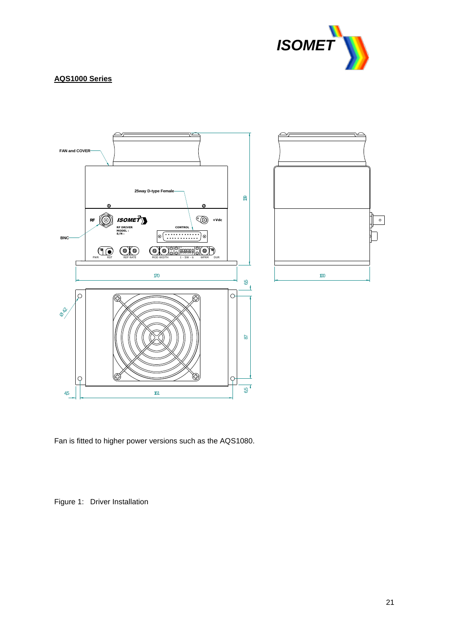

## **AQS1000 Series**



Fan is fitted to higher power versions such as the AQS1080.

Figure 1: Driver Installation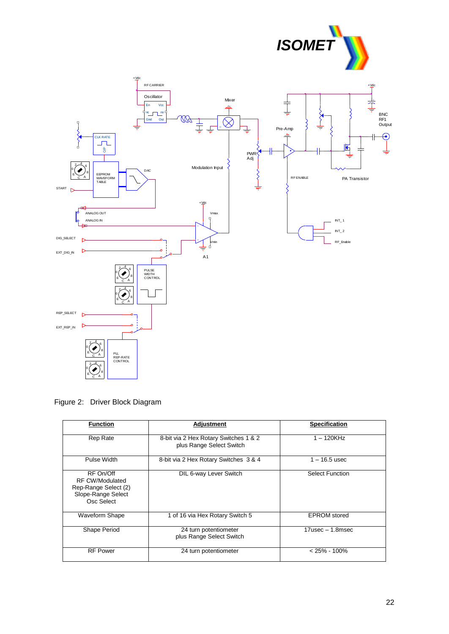



Figure 2: Driver Block Diagram

| <b>Function</b>                                                                                 | Adjustment                                                        | <b>Specification</b>   |
|-------------------------------------------------------------------------------------------------|-------------------------------------------------------------------|------------------------|
| <b>Rep Rate</b>                                                                                 | 8-bit via 2 Hex Rotary Switches 1 & 2<br>plus Range Select Switch | $1 - 120$ KHz          |
| Pulse Width                                                                                     | 8-bit via 2 Hex Rotary Switches 3 & 4                             | 1 – 16.5 usec          |
| RF On/Off<br><b>RF CW/Modulated</b><br>Rep-Range Select (2)<br>Slope-Range Select<br>Osc Select | DIL 6-way Lever Switch                                            | <b>Select Function</b> |
| <b>Waveform Shape</b>                                                                           | 1 of 16 via Hex Rotary Switch 5                                   | <b>EPROM</b> stored    |
| Shape Period                                                                                    | 24 turn potentiometer<br>plus Range Select Switch                 | $17$ usec $-1.8$ msec  |
| <b>RF Power</b>                                                                                 | 24 turn potentiometer                                             | $< 25\% - 100\%$       |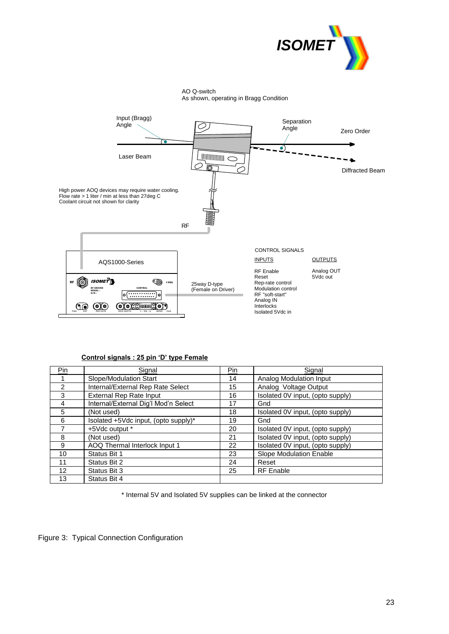



### **Control signals : 25 pin 'D' type Female**

| $P_{10}$ | Signal                               | Pin | Signal                           |
|----------|--------------------------------------|-----|----------------------------------|
|          | Slope/Modulation Start               | 14  | Analog Modulation Input          |
| 2        | Internal/External Rep Rate Select    | 15  | Analog Voltage Output            |
| 3        | <b>External Rep Rate Input</b>       | 16  | Isolated 0V input, (opto supply) |
| 4        | Internal/External Dig'l Mod'n Select | 17  | Gnd                              |
| 5        | (Not used)                           | 18  | Isolated 0V input, (opto supply) |
| 6        | Isolated +5Vdc input, (opto supply)* | 19  | Gnd                              |
|          | +5Vdc output *                       | 20  | Isolated 0V input, (opto supply) |
| 8        | (Not used)                           | 21  | Isolated 0V input, (opto supply) |
| 9        | AOQ Thermal Interlock Input 1        | 22  | Isolated 0V input, (opto supply) |
| 10       | Status Bit 1                         | 23  | Slope Modulation Enable          |
| 11       | Status Bit 2                         | 24  | Reset                            |
| 12       | Status Bit 3                         | 25  | <b>RF</b> Enable                 |
| 13       | Status Bit 4                         |     |                                  |

\* Internal 5V and Isolated 5V supplies can be linked at the connector

Figure 3: Typical Connection Configuration